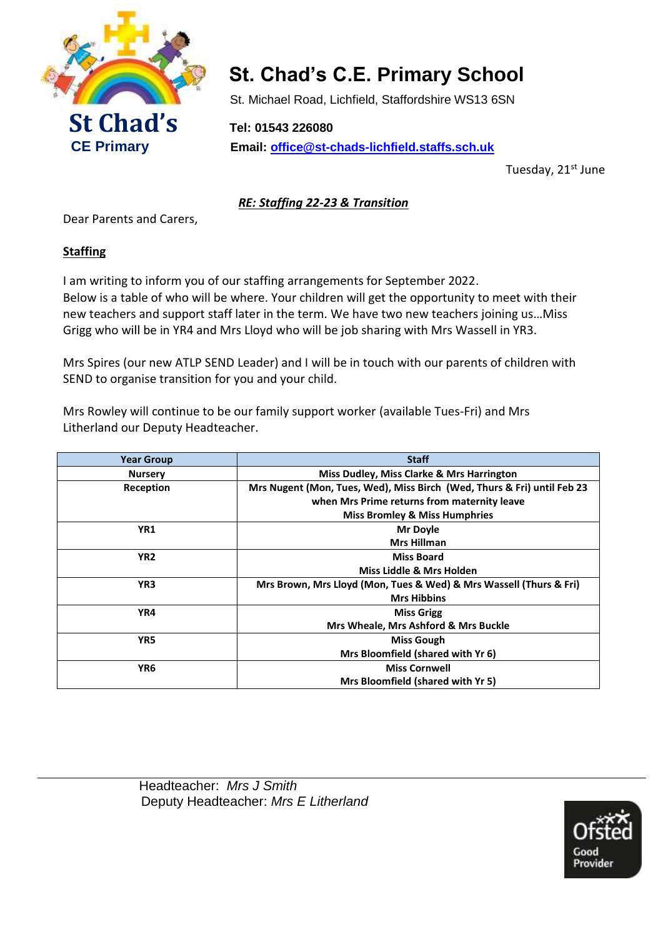

# **St. Chad's C.E. Primary School**

St. Michael Road, Lichfield, Staffordshire WS13 6SN

 **CE Primary Email: [office@st-chads-lichfield.staffs.sch.uk](mailto:headteacher@st-chads-lichfield.staffs.sch.uk)**

Tuesday, 21st June

*RE: Staffing 22-23 & Transition*

Dear Parents and Carers,

## **Staffing**

I am writing to inform you of our staffing arrangements for September 2022. Below is a table of who will be where. Your children will get the opportunity to meet with their new teachers and support staff later in the term. We have two new teachers joining us…Miss Grigg who will be in YR4 and Mrs Lloyd who will be job sharing with Mrs Wassell in YR3.

Mrs Spires (our new ATLP SEND Leader) and I will be in touch with our parents of children with SEND to organise transition for you and your child.

Mrs Rowley will continue to be our family support worker (available Tues-Fri) and Mrs Litherland our Deputy Headteacher.

| <b>Year Group</b> | <b>Staff</b>                                                            |
|-------------------|-------------------------------------------------------------------------|
| <b>Nursery</b>    | Miss Dudley, Miss Clarke & Mrs Harrington                               |
| Reception         | Mrs Nugent (Mon, Tues, Wed), Miss Birch (Wed, Thurs & Fri) until Feb 23 |
|                   | when Mrs Prime returns from maternity leave                             |
|                   | <b>Miss Bromley &amp; Miss Humphries</b>                                |
| YR1               | <b>Mr Doyle</b>                                                         |
|                   | <b>Mrs Hillman</b>                                                      |
| YR <sub>2</sub>   | <b>Miss Board</b>                                                       |
|                   | Miss Liddle & Mrs Holden                                                |
| YR <sub>3</sub>   | Mrs Brown, Mrs Lloyd (Mon, Tues & Wed) & Mrs Wassell (Thurs & Fri)      |
|                   | <b>Mrs Hibbins</b>                                                      |
| YR4               | <b>Miss Grigg</b>                                                       |
|                   | Mrs Wheale, Mrs Ashford & Mrs Buckle                                    |
| YR5               | <b>Miss Gough</b>                                                       |
|                   | Mrs Bloomfield (shared with Yr 6)                                       |
| YR6               | <b>Miss Cornwell</b>                                                    |
|                   | Mrs Bloomfield (shared with Yr 5)                                       |